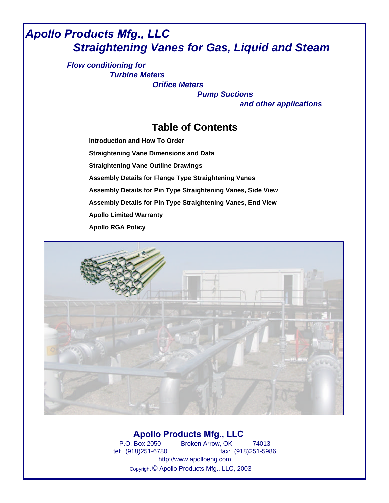# *Apollo Products Mfg., LLC Straightening Vanes for Gas, Liquid and Steam*

*Flow conditioning for Turbine Meters*

*Orifice Meters*

*Pump Suctions and other applications*

## **Table of Contents**

**[Straightening Vane Outline Drawings](#page--1-0) [Introduction and How To Order](#page-1-0) [Straightening Vane Dimensions and Data](#page-2-0) [Assembly Details for Flange Type Straightening Vanes](#page--1-0) [Assembly Details for Pin Type Straightening Vanes, Side View](#page--1-0) [Assembly Details for Pin](#page-6-0) Type Straightening Vanes, End View [Apollo Limited Warranty](#page-7-0) Apollo RGA Policy**



## **Apollo Products Mfg., LLC**

P.O. Box 2050 Broken Arrow, OK 74013 tel: (918)251-6780 fax: (918)251-5986 http://www.apolloeng.com Copyright © Apollo Products Mfg., LLC, 2003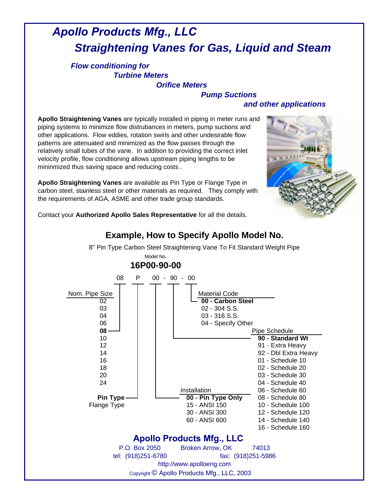# <span id="page-1-0"></span> *Apollo Products Mfg., LLC Straightening Vanes for Gas, Liquid and Steam*

### *Flow conditioning for Turbine Meters*

*Orifice Meters*

### *Pump Suctions and other applications*

**Apollo Straightening Vanes** are typically installed in piping in meter runs and piping systems to minimize flow distrubances in meters, pump suctions and other applications. Flow eddies, rotation swirls and other undesirable flow patterns are attenuated and minimized as the flow passes through the relatively small tubes of the vane. In addition to providing the correct inlet velocity profile, flow conditioning allows upstream piping lengths to be mininmized thus saving space and reducing costs .

**Apollo Straightening Vanes** are available as Pin Type or Flange Type in carbon steel, stainless steel or other materials as required. They comply with the requirements of AGA, ASME and other trade group standards.



Contact your **Authorized Apollo Sales Representative** for all the details.

## **Example, How to Specify Apollo Model No.** 8" Pin Type Carbon Steel Straightening Vane To Fit Standard Weight Pipe

08 P 00 - 90 - 00 P **16P00-90-00** Model No.

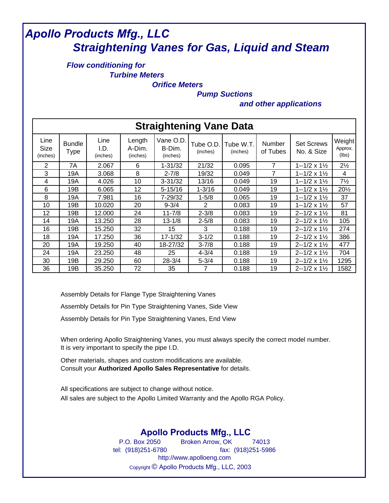# <span id="page-2-0"></span> *Apollo Products Mfg., LLC Straightening Vanes for Gas, Liquid and Steam*

### *Flow conditioning for Turbine Meters*

*Orifice Meters*

*Pump Suctions*

*and other applications*

| <b>Straightening Vane Data</b> |                              |                          |                              |                                 |                       |                       |                           |                                                |                            |
|--------------------------------|------------------------------|--------------------------|------------------------------|---------------------------------|-----------------------|-----------------------|---------------------------|------------------------------------------------|----------------------------|
| Line<br>Size<br>(inches)       | <b>Bundle</b><br><b>Type</b> | Line<br>I.D.<br>(inches) | Length<br>A-Dim.<br>(inches) | Vane O.D.<br>B-Dim.<br>(inches) | Tube O.D.<br>(inches) | Tube W.T.<br>(inches) | <b>Number</b><br>of Tubes | <b>Set Screws</b><br>No. & Size                | Weight<br>Approx.<br>(lbs) |
| 2                              | 7A                           | 2.067                    | 6                            | 1-31/32                         | 21/32                 | 0.095                 | 7                         | $1 - 1/2 \times 1$ /2                          | $2\frac{1}{2}$             |
| 3                              | 19A                          | 3.068                    | 8                            | $2 - 7/8$                       | 19/32                 | 0.049                 | 7                         | $1 - 1/2 \times 1$ /2                          | 4                          |
| 4                              | 19A                          | 4.026                    | 10                           | $3 - 31/32$                     | 13/16                 | 0.049                 | 19                        | $1 - 1/2 \times 1\frac{1}{2}$                  | $7\frac{1}{2}$             |
| 6                              | 19B                          | 6.065                    | 12                           | $5 - 15/16$                     | $1 - 3/16$            | 0.049                 | 19                        | $1 - 1/2 \times 1\frac{1}{2}$                  | 201/2                      |
| 8                              | 19A                          | 7.981                    | 16                           | 7-29/32                         | $1 - 5/8$             | 0.065                 | 19                        | $1 - 1/2 \times 1\frac{1}{2}$                  | 37                         |
| 10                             | 19B                          | 10.020                   | 20                           | $9 - 3/4$                       | 2                     | 0.083                 | 19                        | 1--1/2 x 1½                                    | 57                         |
| 12                             | 19B                          | 12.000                   | 24                           | $11 - 7/8$                      | $2 - 3/8$             | 0.083                 | 19                        | $2 - 1/2 \times 1$ <sup>1</sup> / <sub>2</sub> | 81                         |
| 14                             | 19A                          | 13.250                   | 28                           | $13 - 1/8$                      | $2 - 5/8$             | 0.083                 | 19                        | $2 - 1/2 \times 1$ <sup>1</sup> / <sub>2</sub> | 105                        |
| 16                             | 19B                          | 15.250                   | 32                           | 15                              | 3                     | 0.188                 | 19                        | $2 - 1/2 \times 1$ <sup>1</sup> / <sub>2</sub> | 274                        |
| 18                             | 19A                          | 17.250                   | 36                           | 17-1/32                         | $3 - 1/2$             | 0.188                 | 19                        | $2 - 1/2 \times 1$ <sup>1</sup> / <sub>2</sub> | 386                        |
| 20                             | 19A                          | 19.250                   | 40                           | 18-27/32                        | $3 - 7/8$             | 0.188                 | 19                        | $2 - 1/2 \times 1$ <sup>1</sup> / <sub>2</sub> | 477                        |
| 24                             | 19A                          | 23.250                   | 48                           | 25                              | $4 - 3/4$             | 0.188                 | 19                        | $2 - 1/2 \times 1$ <sup>1</sup> / <sub>2</sub> | 704                        |
| 30                             | 19B                          | 29.250                   | 60                           | $28 - 3/4$                      | $5 - 3/4$             | 0.188                 | 19                        | $2 - 1/2 \times 1$ <sup>1</sup> / <sub>2</sub> | 1295                       |
| 36                             | 19B                          | 35.250                   | 72                           | 35                              | 7                     | 0.188                 | 19                        | $2 - 1/2 \times 1$ <sup>1</sup> / <sub>2</sub> | 1582                       |

[Assembly Details for Flange Type Straightening Vanes](#page--1-0)

[Assembly Details for Pin Type Straightening Vanes, Side View](#page--1-0)

[Assembly Details for Pin Type Straightening Vanes, End View](#page--1-0)

When ordering Apollo Straightening Vanes, you must always specify the correct model number. It is very important to specify the pipe I.D.

Other materials, shapes and custom modifications are available. Consult your **Authorized Apollo Sales Representative** for details.

All specifications are subject to change without notice. All sales are subject to the Apollo Limited Warranty and the Apollo RGA Policy.

## **Apollo Products Mfg., LLC**

P.O. Box 2050 Broken Arrow, OK 74013 tel: (918)251-6780 fax: (918)251-5986 http://www.apolloeng.com Copyright © Apollo Products Mfg., LLC, 2003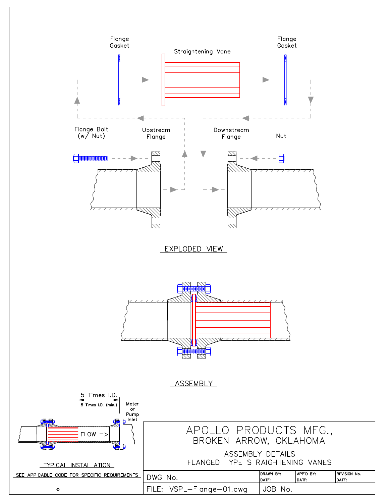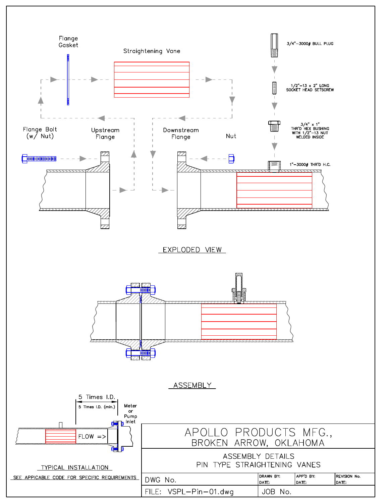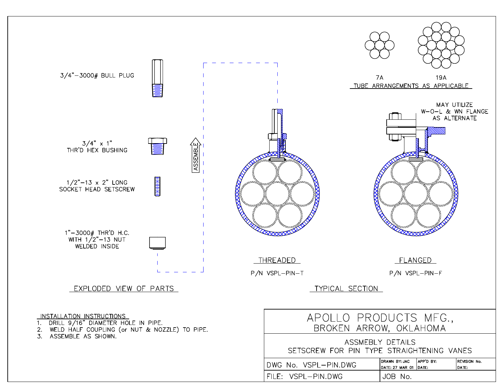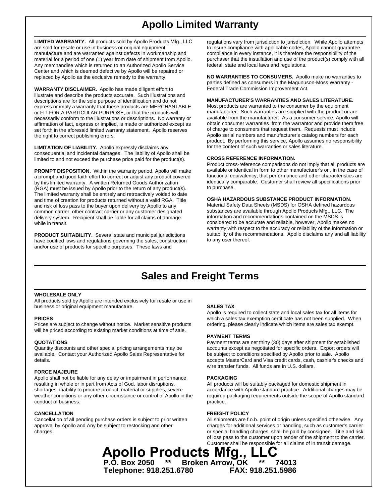# **Apollo Limited Warranty**

<span id="page-6-0"></span>**LIMITED WARRANTY.** All products sold by Apollo Products Mfg., LLC are sold for resale or use in business or original equipment manufacture and are warranted against defects in workmanship and material for a period of one (1) year from date of shipment from Apollo. Any merchandise which is returned to an Authorized Apollo Service Center and which is deemed defective by Apollo will be repaired or replaced by Apollo as the exclusive remedy to the warranty.

**WARRANTY DISCLAIMER.** Apollo has made diligent effort to illustrate and describe the products accurate. Such illustrations and descriptions are for the sole purpose of identification and do not express or imply a warranty that these products are MERCHANTABLE or FIT FOR A PARTICULAR PURPOSE, or that the products will necessarily conform to the illustrations or descriptions. No warranty or affirmation of fact, express or implied, is made or authorized except as set forth in the aforesaid limited warranty statement. Apollo reserves the right to correct publishing errors.

**LIMITATION OF LIABILITY.** Apollo expressly disclaims any consequential and incidental damages. The liability of Apollo shall be limited to and not exceed the purchase price paid for the product(s).

**PROMPT DISPOSITION.** Within the warranty period, Apollo will make a prompt and good faith effort to correct or adjust any product covered by this limited warranty. A written Returned Goods Authorization (RGA) must be issued by Apollo prior to the return of any product(s). The limited warranty shall be entirely and retroactively voided to date and time of creation for products returned without a valid RGA. Title and risk of loss pass to the buyer upon delivery by Apollo to any common carrier, other contract carrier or any customer designated delivery system. Recipient shall be liable for all claims of damage while in transit.

**PRODUCT SUITABILITY.** Several state and municipal jurisdictions have codified laws and regulations governing the sales, construction and/or use of products for specific purposes. These laws and

regulations vary from jurisdiction to jurisdiction. While Apollo attempts to insure compliance with applicable codes, Apollo cannot guarantee compliance in every instance, it is therefore the responsibility of the purchaser that the installation and use of the product(s) comply with all federal, state and local laws and regulations.

**NO WARRANTIES TO CONSUMERS.** Apollo make no warranties to parties defined as consumers in the Magunuson-Moss Warranty - Federal Trade Commission Improvement Act.

### **MANUFACTURER'S WARRANTIES AND SALES LITERATURE.**

Most products are warranted to the consumer by the equipment manufacturer. Such warranties are supplied with the product or are available from the manufacturer. As a consumer service, Apollo will obtain consumer warranties from the warrantor and provide them free of charge to consumers that request them. Requests must include Apollo serial numbers and manufacturer's catalog numbers for each product. By performing this service, Apollo assumes no responsibility for the content of such warranties or sales literature.

### **CROSS REFERENCE INFORMATION.**

Product cross-reference comparisons do not imply that all products are available or identical in form to other manufacturer's or , in the case of functional equivalency, that performance and other characteristics are identically comparable. Customer shall review all specifications prior to purchase.

### **OSHA HAZARDOUS SUBSTANCE PRODUCT INFORMATION.**

Material Safety Data Sheets (MSDS) for OSHA defined hazardous substances are available through Apollo Products Mfg., LLC. The information and recommendations contained on the MSDS is considered to be accurate and reliable, however, Apollo makes no warranty with respect to the accuracy or reliability of the information or suitability of the recommendations. Apollo disclaims any and all liability to any user thereof.

## **Sales and Freight Terms**

### **WHOLESALE ONLY**

All products sold by Apollo are intended exclusively for resale or use in business or original equipment manufacture. **SALES TAX**

will be priced according to existing market conditions at time of sale.

available. Contact your Authorized Apollo Sales Representative for be subject to conditions specified by Apollo prior to sale. Apollo

### **FORCE MAJEURE**

Apollo shall not be liable for any delay or impairment in performance **PACKAGING** resulting in whole or in part from Acts of God, labor disruptions, All products will be suitably packaged for domestic shipment in shortages, inability to procure product, material or supplies, severe accordance with Apollo standard practice. Additional charges may be weather conditions or any other circumstance or control of Apollo in the required packaging requirements outside the scope of Apollo standard conduct of business. **provide the conduct of business**. **practice. practice.** 

**CANCELLATION FREIGHT POLICY**

**PRICES EXECUTE: PRICES EXECUTE: Which a sales tax exemption certificate has not been supplied. When** Prices are subject to change without notice. Market sensitive products ordering, please clearly indicate which items are sales tax exempt. Apollo is required to collect state and local sales tax for all items for

### **PAYMENT TERMS**

**QUOTATIONS Payment terms are net thirty (30) days after shipment for established** Quantity discounts and other special pricing arrangements may be accounts except as negotiated for specific orders. Export orders will details. accepts MasterCard and Visa credit cards, cash, cashier's checks and wire transfer funds. All funds are in U.S. dollars.

All shipments are f.o.b. point of origin unless specified otherwise. Any approval by Apollo and Any be subject to restocking and other charges for additional services or handling, such as customer's carrier charges. or special handling charges, shall be paid by consignee. Title and risk of loss pass to the customer upon tender of the shipment to the carrier. Customer shall be responsible for all claims of in transit damage.